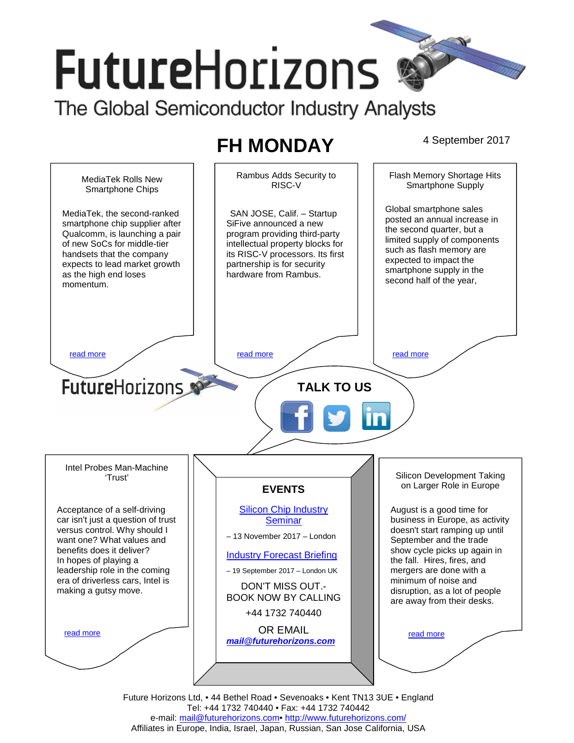# **FutureHorizons** The Global Semiconductor Industry Analysts

# **FH MONDAY** 4 September 2017



Future Horizons Ltd, • 44 Bethel Road • Sevenoaks • Kent TN13 3UE • England Tel: +44 1732 740440 • Fax: +44 1732 740442 e-mail: mail@futurehorizons.com• http://www.futurehorizons.com/ Affiliates in Europe, India, Israel, Japan, Russian, San Jose California, USA